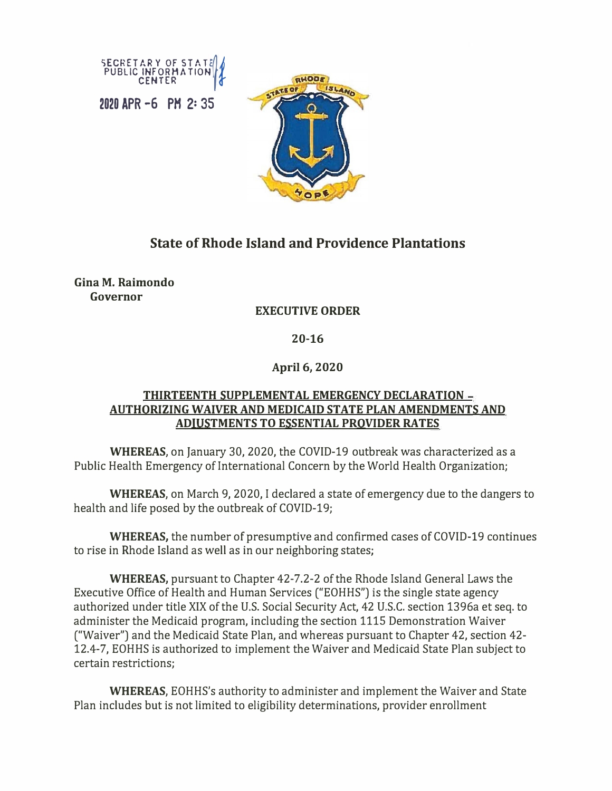

**2020 APR -6 PH 2: 35** 



## **State of Rhode Island and Providence Plantations**

**Gina M. Raimondo Governor** 

## **EXECUTIVE ORDER**

**20-16**

**April 6, 2020** 

## **THIRTEENTH SUPPLEMENTAL EMERGENCY DECLARATION AUTHORIZING WAIVER AND MEDICAID STATE PLAN AMENDMENTS AND ADJUSTMENTS TO ESSENTIAL PROVIDER RATES**

**WHEREAS,** on January 30, 2020, the COVID-19 outbreak was characterized as a Public Health Emergency of International Concern by the World Health Organization;

**WHEREAS,** on March 9, 2020, I declared a state of emergency due to the dangers to health and life posed by the outbreak of COVID-19;

**WHEREAS,** the number of presumptive and confirmed cases of COVID-19 continues to rise in Rhode Island as well as in our neighboring states;

**WHEREAS,** pursuant to Chapter 42-7.2-2 of the Rhode Island General Laws the Executive Office of Health and Human Services ("EOHHS") is the single state agency authorized under title XIX of the U.S. Social Security Act, 42 U.S.C. section 1396a et seq. to administer the Medicaid program, including the section 1115 Demonstration Waiver ("Waiver") and the Medicaid State Plan, and whereas pursuant to Chapter 42, section 42- 12.4-7, EOHHS is authorized to implement the Waiver and Medicaid State Plan subject to certain restrictions;

**WHEREAS,** EOHHS's authority to administer and implement the Waiver and State Plan includes but is not limited to eligibility determinations, provider enrollment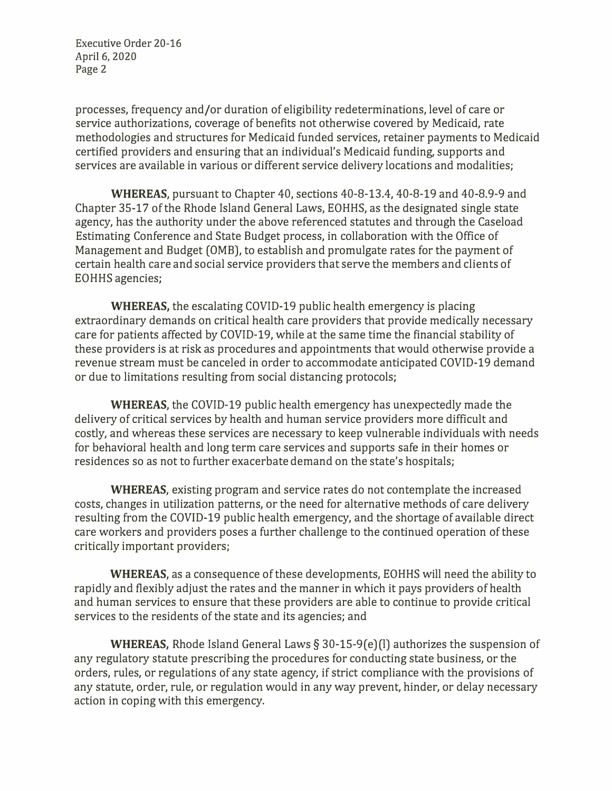Executive Order 20-16 April 6, 2020 Page 2

processes, frequency and/or duration of eligibility redeterminations, level of care or service authorizations, coverage of benefits not otherwise covered by Medicaid, rate methodologies and structures for Medicaid funded services, retainer payments to Medicaid certified providers and ensuring that an individual's Medicaid funding, supports and services are available in various or different service delivery locations and modalities;

**WHEREAS,** pursuant to Chapter 40, sections 40-8-13.4, 40-8-19 and 40-8.9-9 and Chapter 35-17 of the Rhode Island General Laws, EOHHS, as the designated single state agency, has the authority under the above referenced statutes and through the Caseload Estimating Conference and State Budget process, in collaboration with the Office of Management and Budget (0MB), to establish and promulgate rates for the payment of certain health care and social service providers that serve the members and clients of EOHHS agencies;

**WHEREAS,** the escalating COVID-19 public health emergency is placing extraordinary demands on critical health care providers that provide medically necessary care for patients affected by COVID-19, while at the same time the financial stability of these providers is at risk as procedures and appointments that would otherwise provide a revenue stream must be canceled in order to accommodate anticipated COVID-19 demand or due to limitations resulting from social distancing protocols;

**WHEREAS,** the COVID-19 public health emergency has unexpectedly made the delivery of critical services by health and human service providers more difficult and costly, and whereas these services are necessary to keep vulnerable individuals with needs for behavioral health and long term care services and supports safe in their homes or residences so as not to further exacerbate demand on the state's hospitals;

**WHEREAS,** existing program and service rates do not contemplate the increased costs, changes in utilization patterns, or the need for alternative methods of care delivery resulting from the COVID-19 public health emergency, and the shortage of available direct care workers and providers poses a further challenge to the continued operation of these critically important providers;

**WHEREAS,** as a consequence of these developments, EOHHS will need the ability to rapidly and flexibly adjust the rates and the manner in which it pays providers of health and human services to ensure that these providers are able to continue to provide critical services to the residents of the state and its agencies; and

**WHEREAS,** Rhode Island General Laws§ 30-15-9(e)(I) authorizes the suspension of any regulatory statute prescribing the procedures for conducting state business, or the orders, rules, or regulations of any state agency, if strict compliance with the provisions of any statute, order, rule, or regulation would in any way prevent, hinder, or delay necessary action in coping with this emergency.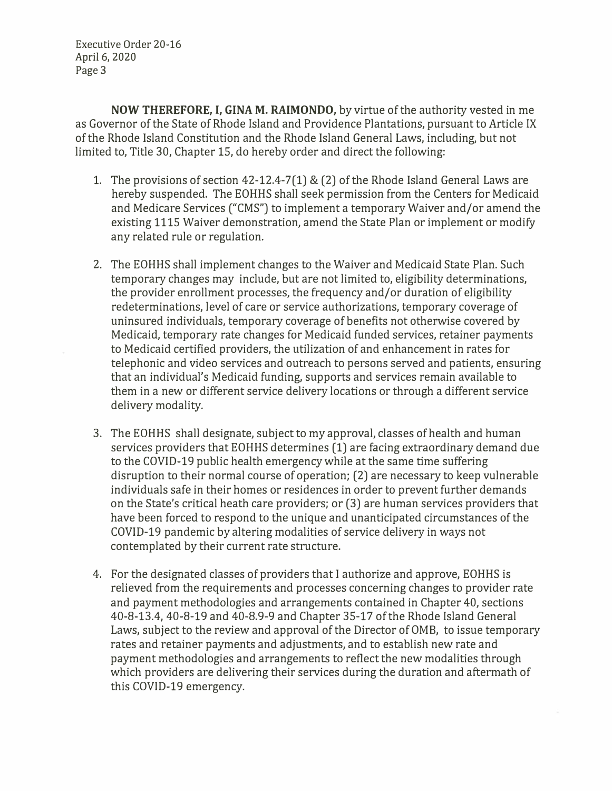Executive Order 20-16 April 6, 2020 Page 3

**NOW THEREFORE, I, GINA M. RAIMONDO,** by virtue of the authority vested in me as Governor of the State of Rhode Island and Providence Plantations, pursuant to Article IX of the Rhode Island Constitution and the Rhode Island General Laws, including, but not limited to, Title 30, Chapter 15, do hereby order and direct the following:

- 1. The provisions of section 42-12.4-7(1) & (2) of the Rhode Island General Laws are hereby suspended. The EOHHS shall seek permission from the Centers for Medicaid and Medicare Services ("CMS") to implement a temporary Waiver and/or amend the existing 1115 Waiver demonstration, amend the State Plan or implement or modify any related rule or regulation.
- 2. The EOHHS shall implement changes to the Waiver and Medicaid State Plan. Such temporary changes may include, but are not limited to, eligibility determinations, the provider enrollment processes, the frequency and/or duration of eligibility redeterminations, level of care or service authorizations, temporary coverage of uninsured individuals, temporary coverage of benefits not otherwise covered by Medicaid, temporary rate changes for Medicaid funded services, retainer payments to Medicaid certified providers, the utilization of and enhancement in rates for telephonic and video services and outreach to persons served and patients, ensuring that an individual's Medicaid funding, supports and services remain available to them in a new or different service delivery locations or through a different service delivery modality.
- 3. The EOHHS shall designate, subject to my approval, classes of health and human services providers that EOHHS determines (1) are facing extraordinary demand due to the COVID-19 public health emergency while at the same time suffering disruption to their normal course of operation; (2) are necessary to keep vulnerable individuals safe in their homes or residences in order to prevent further demands on the State's critical heath care providers; or (3) are human services providers that have been forced to respond to the unique and unanticipated circumstances of the COVID-19 pandemic by altering modalities of service delivery in ways not contemplated by their current rate structure.
- 4. For the designated classes of providers that I authorize and approve, EOHHS is relieved from the requirements and processes concerning changes to provider rate and payment methodologies and arrangements contained in Chapter 40, sections 40-8-13.4, 40-8-19 and 40-8.9-9 and Chapter 35-17 of the Rhode Island General Laws, subject to the review and approval of the Director of 0MB, to issue temporary rates and retainer payments and adjustments, and to establish new rate and payment methodologies and arrangements to reflect the new modalities through which providers are delivering their services during the duration and aftermath of this COVID-19 emergency.